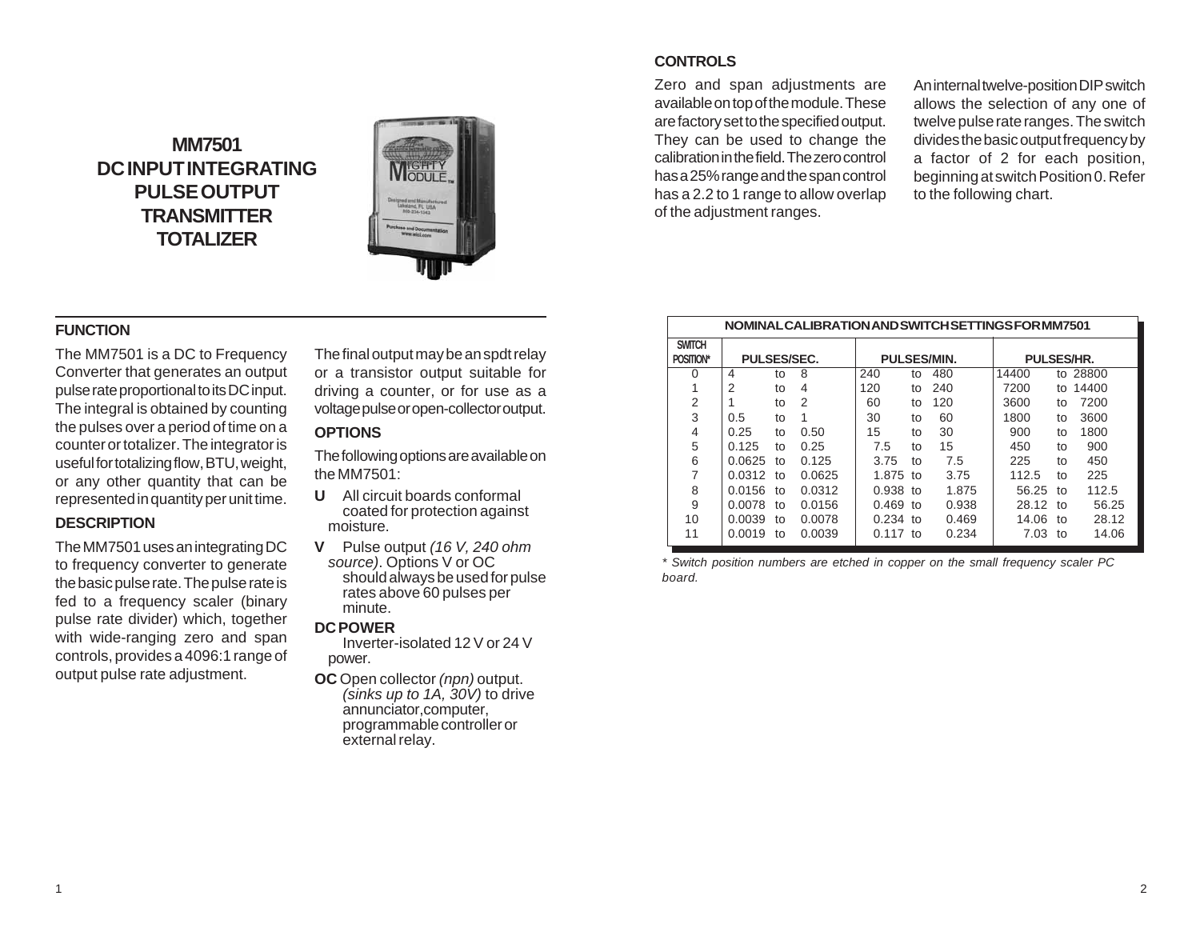# **MM7501 DC INPUT INTEGRATING PULSE OUTPUT TRANSMITTER TOTALIZER**



# **CONTROLS**

Zero and span adjustments are available on top of the module. These are factory set to the specified output. They can be used to change the calibration in the field. The zero control has a 25% range and the span control has a 2.2 to 1 range to allow overlap of the adjustment ranges.

An internal twelve-position DIP switch allows the selection of any one of twelve pulse rate ranges. The switch divides the basic output frequency by a factor of 2 for each position, beginning at switch Position 0. Refer to the following chart.

#### **NOMINAL CALIBRATION AND SWITCH SETTINGS FOR MM7501**

| <b>SWITCH</b>  |                    |    |        |                    |    |       |                   |    |       |
|----------------|--------------------|----|--------|--------------------|----|-------|-------------------|----|-------|
| POSITION*      | <b>PULSES/SEC.</b> |    |        | <b>PULSES/MIN.</b> |    |       | <b>PULSES/HR.</b> |    |       |
| 0              | 4                  | to | 8      | 240                | to | 480   | 14400             | to | 28800 |
|                | 2                  | to | 4      | 120                | to | 240   | 7200              | to | 14400 |
| 2              |                    | to | 2      | 60                 | to | 120   | 3600              | to | 7200  |
| 3              | 0.5                | to | 1      | 30                 | to | 60    | 1800              | to | 3600  |
| 4              | 0.25               | to | 0.50   | 15                 | to | 30    | 900               | to | 1800  |
| 5              | 0.125              | to | 0.25   | 7.5                | to | 15    | 450               | to | 900   |
| 6              | 0.0625             | to | 0.125  | 3.75               | to | 7.5   | 225               | to | 450   |
| $\overline{7}$ | 0.0312             | to | 0.0625 | 1.875 to           |    | 3.75  | 112.5             | to | 225   |
| 8              | 0.0156             | to | 0.0312 | $0.938$ to         |    | 1.875 | 56.25             | to | 112.5 |
| 9              | 0.0078             | to | 0.0156 | $0.469$ to         |    | 0.938 | 28.12             | to | 56.25 |
| 10             | 0.0039             | to | 0.0078 | 0.234              | to | 0.469 | 14.06             | to | 28.12 |
| 11             | 0.0019             | to | 0.0039 | $0.117$ to         |    | 0.234 | 7.03              | to | 14.06 |

*\* Switch position numbers are etched in copper on the small frequency scaler PC board.*

### **FUNCTION**

The MM7501 is a DC to Frequency Converter that generates an output pulse rate proportional to its DC input. The integral is obtained by counting the pulses over a period of time on a counter or totalizer. The integrator is useful for totalizing flow, BTU, weight, or any other quantity that can be represented in quantity per unit time.

#### **DESCRIPTION**

The MM7501 uses an integrating DC to frequency converter to generate the basic pulse rate. The pulse rate is fed to a frequency scaler (binary pulse rate divider) which, together with wide-ranging zero and span controls, provides a 4096:1 range of output pulse rate adjustment.

The final output may be an spdt relay or a transistor output suitable for driving a counter, or for use as a voltage pulse or open-collector output.

## **OPTIONS**

The following options are available on the MM7501:

- **U** All circuit boards conformal coated for protection against moisture.
- **V** Pulse output *(16 V, 240 ohm source)*. Options V or OC should always be used for pulse rates above 60 pulses per minute.

#### **DCPOWER**

Inverter-isolated 12 V or 24 V power.

**OC** Open collector *(npn)* output. *(sinks up to 1A, 30V)* to drive annunciator,computer, programmable controller or external relay.